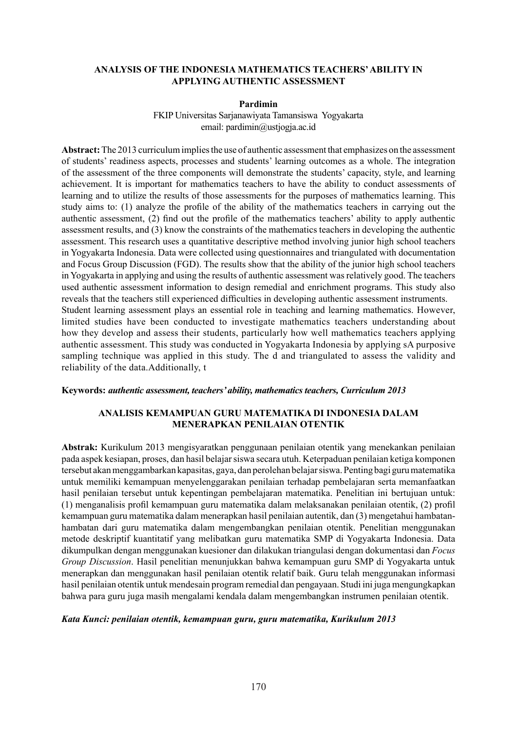### **Analysis of the Indonesia Mathematics Teachers' Ability in Applying Authentic Assessment**

#### **Pardimin**

FKIP Universitas Sarjanawiyata Tamansiswa Yogyakarta email: pardimin@ustjogja.ac.id

**Abstract:** The 2013 curriculum implies the use of authentic assessment that emphasizes on the assessment of students' readiness aspects, processes and students' learning outcomes as a whole. The integration of the assessment of the three components will demonstrate the students' capacity, style, and learning achievement. It is important for mathematics teachers to have the ability to conduct assessments of learning and to utilize the results of those assessments for the purposes of mathematics learning. This study aims to: (1) analyze the profile of the ability of the mathematics teachers in carrying out the authentic assessment, (2) find out the profile of the mathematics teachers' ability to apply authentic assessment results, and (3) know the constraints of the mathematics teachers in developing the authentic assessment. This research uses a quantitative descriptive method involving junior high school teachers in Yogyakarta Indonesia. Data were collected using questionnaires and triangulated with documentation and Focus Group Discussion (FGD). The results show that the ability of the junior high school teachers in Yogyakarta in applying and using the results of authentic assessment was relatively good. The teachers used authentic assessment information to design remedial and enrichment programs. This study also reveals that the teachers still experienced difficulties in developing authentic assessment instruments. Student learning assessment plays an essential role in teaching and learning mathematics. However, limited studies have been conducted to investigate mathematics teachers understanding about how they develop and assess their students, particularly how well mathematics teachers applying authentic assessment. This study was conducted in Yogyakarta Indonesia by applying sA purposive sampling technique was applied in this study. The d and triangulated to assess the validity and

### **Keywords:** *authentic assessment, teachers' ability, mathematics teachers, Curriculum 2013*

reliability of the data.Additionally, t

## **Analisis Kemampuan Guru Matematika di Indonesia Dalam Menerapkan Penilaian Otentik**

**Abstrak:** Kurikulum 2013 mengisyaratkan penggunaan penilaian otentik yang menekankan penilaian pada aspek kesiapan, proses, dan hasil belajar siswa secara utuh. Keterpaduan penilaian ketiga komponen tersebut akan menggambarkan kapasitas, gaya, dan perolehan belajar siswa. Penting bagi guru matematika untuk memiliki kemampuan menyelenggarakan penilaian terhadap pembelajaran serta memanfaatkan hasil penilaian tersebut untuk kepentingan pembelajaran matematika. Penelitian ini bertujuan untuk: (1) menganalisis profil kemampuan guru matematika dalam melaksanakan penilaian otentik, (2) profil kemampuan guru matematika dalam menerapkan hasil penilaian autentik, dan (3) mengetahui hambatanhambatan dari guru matematika dalam mengembangkan penilaian otentik. Penelitian menggunakan metode deskriptif kuantitatif yang melibatkan guru matematika SMP di Yogyakarta Indonesia. Data dikumpulkan dengan menggunakan kuesioner dan dilakukan triangulasi dengan dokumentasi dan *Focus Group Discussion*. Hasil penelitian menunjukkan bahwa kemampuan guru SMP di Yogyakarta untuk menerapkan dan menggunakan hasil penilaian otentik relatif baik. Guru telah menggunakan informasi hasil penilaian otentik untuk mendesain program remedial dan pengayaan. Studi ini juga mengungkapkan bahwa para guru juga masih mengalami kendala dalam mengembangkan instrumen penilaian otentik.

### *Kata Kunci: penilaian otentik, kemampuan guru, guru matematika, Kurikulum 2013*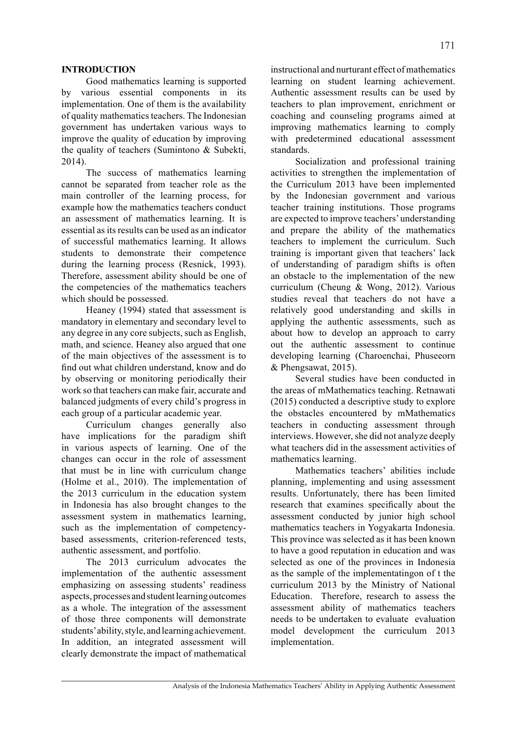### **INTRODUCTION**

Good mathematics learning is supported by various essential components in its implementation. One of them is the availability of quality mathematics teachers. The Indonesian government has undertaken various ways to improve the quality of education by improving the quality of teachers (Sumintono & Subekti, 2014).

The success of mathematics learning cannot be separated from teacher role as the main controller of the learning process, for example how the mathematics teachers conduct an assessment of mathematics learning. It is essential as its results can be used as an indicator of successful mathematics learning. It allows students to demonstrate their competence during the learning process (Resnick, 1993). Therefore, assessment ability should be one of the competencies of the mathematics teachers which should be possessed.

Heaney (1994) stated that assessment is mandatory in elementary and secondary level to any degree in any core subjects, such as English, math, and science. Heaney also argued that one of the main objectives of the assessment is to find out what children understand, know and do by observing or monitoring periodically their work so that teachers can make fair, accurate and balanced judgments of every child's progress in each group of a particular academic year.

Curriculum changes generally also have implications for the paradigm shift in various aspects of learning. One of the changes can occur in the role of assessment that must be in line with curriculum change (Holme et al., 2010). The implementation of the 2013 curriculum in the education system in Indonesia has also brought changes to the assessment system in mathematics learning, such as the implementation of competencybased assessments, criterion-referenced tests, authentic assessment, and portfolio.

The 2013 curriculum advocates the implementation of the authentic assessment emphasizing on assessing students' readiness aspects, processes and student learning outcomes as a whole. The integration of the assessment of those three components will demonstrate students' ability, style, and learning achievement. In addition, an integrated assessment will clearly demonstrate the impact of mathematical instructional and nurturant effect of mathematics learning on student learning achievement. Authentic assessment results can be used by teachers to plan improvement, enrichment or coaching and counseling programs aimed at improving mathematics learning to comply with predetermined educational assessment standards.

Socialization and professional training activities to strengthen the implementation of the Curriculum 2013 have been implemented by the Indonesian government and various teacher training institutions. Those programs are expected to improve teachers' understanding and prepare the ability of the mathematics teachers to implement the curriculum. Such training is important given that teachers' lack of understanding of paradigm shifts is often an obstacle to the implementation of the new curriculum (Cheung & Wong, 2012). Various studies reveal that teachers do not have a relatively good understanding and skills in applying the authentic assessments, such as about how to develop an approach to carry out the authentic assessment to continue developing learning (Charoenchai, Phuseeorn & Phengsawat, 2015).

Several studies have been conducted in the areas of mMathematics teaching. Retnawati (2015) conducted a descriptive study to explore the obstacles encountered by mMathematics teachers in conducting assessment through interviews. However, she did not analyze deeply what teachers did in the assessment activities of mathematics learning.

Mathematics teachers' abilities include planning, implementing and using assessment results. Unfortunately, there has been limited research that examines specifically about the assessment conducted by junior high school mathematics teachers in Yogyakarta Indonesia. This province was selected as it has been known to have a good reputation in education and was selected as one of the provinces in Indonesia as the sample of the implementatingon of t the curriculum 2013 by the Ministry of National Education. Therefore, research to assess the assessment ability of mathematics teachers needs to be undertaken to evaluate evaluation model development the curriculum 2013 implementation.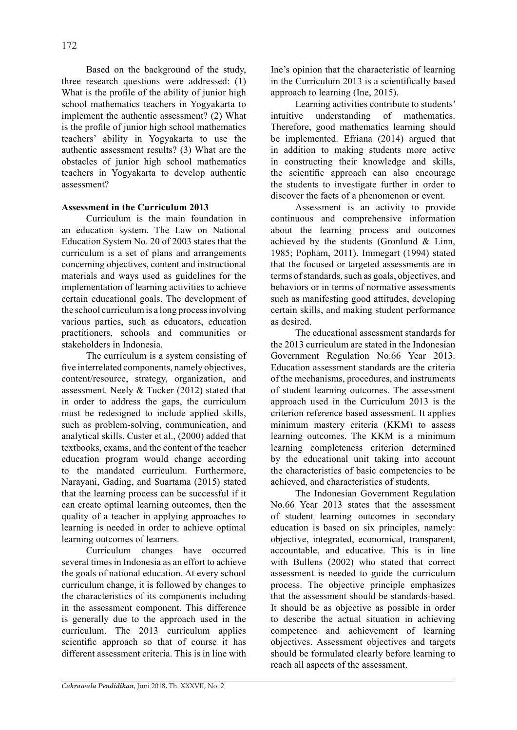Based on the background of the study, three research questions were addressed: (1) What is the profile of the ability of junior high school mathematics teachers in Yogyakarta to implement the authentic assessment? (2) What is the profile of junior high school mathematics teachers' ability in Yogyakarta to use the authentic assessment results? (3) What are the obstacles of junior high school mathematics teachers in Yogyakarta to develop authentic assessment?

## **Assessment in the Curriculum 2013**

Curriculum is the main foundation in an education system. The Law on National Education System No. 20 of 2003 states that the curriculum is a set of plans and arrangements concerning objectives, content and instructional materials and ways used as guidelines for the implementation of learning activities to achieve certain educational goals. The development of the school curriculum is a long process involving various parties, such as educators, education practitioners, schools and communities or stakeholders in Indonesia.

The curriculum is a system consisting of five interrelated components, namely objectives, content/resource, strategy, organization, and assessment. Neely & Tucker (2012) stated that in order to address the gaps, the curriculum must be redesigned to include applied skills, such as problem-solving, communication, and analytical skills. Custer et al., (2000) added that textbooks, exams, and the content of the teacher education program would change according to the mandated curriculum. Furthermore, Narayani, Gading, and Suartama (2015) stated that the learning process can be successful if it can create optimal learning outcomes, then the quality of a teacher in applying approaches to learning is needed in order to achieve optimal learning outcomes of learners.

Curriculum changes have occurred several times in Indonesia as an effort to achieve the goals of national education. At every school curriculum change, it is followed by changes to the characteristics of its components including in the assessment component. This difference is generally due to the approach used in the curriculum. The 2013 curriculum applies scientific approach so that of course it has different assessment criteria. This is in line with Ine's opinion that the characteristic of learning in the Curriculum 2013 is a scientifically based approach to learning (Ine, 2015).

Learning activities contribute to students' intuitive understanding of mathematics. Therefore, good mathematics learning should be implemented. Efriana (2014) argued that in addition to making students more active in constructing their knowledge and skills, the scientific approach can also encourage the students to investigate further in order to discover the facts of a phenomenon or event.

Assessment is an activity to provide continuous and comprehensive information about the learning process and outcomes achieved by the students (Gronlund & Linn, 1985; Popham, 2011). Immegart (1994) stated that the focused or targeted assessments are in terms of standards, such as goals, objectives, and behaviors or in terms of normative assessments such as manifesting good attitudes, developing certain skills, and making student performance as desired.

The educational assessment standards for the 2013 curriculum are stated in the Indonesian Government Regulation No.66 Year 2013. Education assessment standards are the criteria of the mechanisms, procedures, and instruments of student learning outcomes. The assessment approach used in the Curriculum 2013 is the criterion reference based assessment. It applies minimum mastery criteria (KKM) to assess learning outcomes. The KKM is a minimum learning completeness criterion determined by the educational unit taking into account the characteristics of basic competencies to be achieved, and characteristics of students.

The Indonesian Government Regulation No.66 Year 2013 states that the assessment of student learning outcomes in secondary education is based on six principles, namely: objective, integrated, economical, transparent, accountable, and educative. This is in line with Bullens (2002) who stated that correct assessment is needed to guide the curriculum process. The objective principle emphasizes that the assessment should be standards-based. It should be as objective as possible in order to describe the actual situation in achieving competence and achievement of learning objectives. Assessment objectives and targets should be formulated clearly before learning to reach all aspects of the assessment.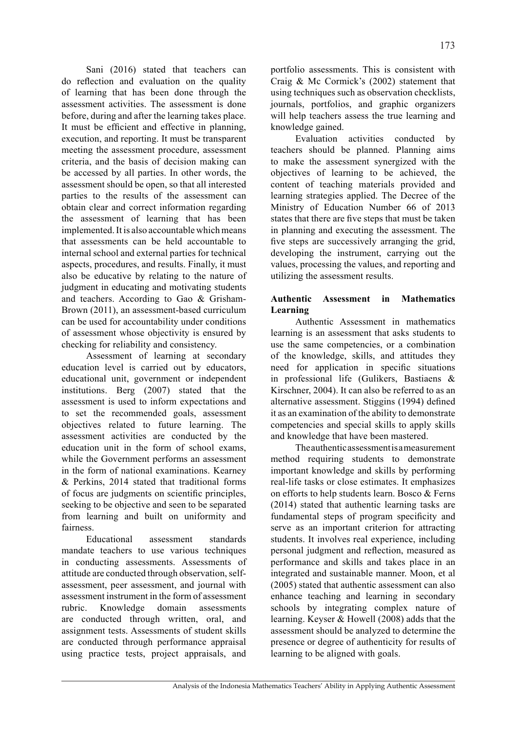Sani (2016) stated that teachers can do reflection and evaluation on the quality of learning that has been done through the assessment activities. The assessment is done before, during and after the learning takes place. It must be efficient and effective in planning, execution, and reporting. It must be transparent meeting the assessment procedure, assessment criteria, and the basis of decision making can be accessed by all parties. In other words, the assessment should be open, so that all interested parties to the results of the assessment can obtain clear and correct information regarding the assessment of learning that has been implemented. It is also accountable which means that assessments can be held accountable to internal school and external parties for technical aspects, procedures, and results. Finally, it must also be educative by relating to the nature of judgment in educating and motivating students and teachers. According to Gao & Grisham-Brown (2011), an assessment-based curriculum can be used for accountability under conditions of assessment whose objectivity is ensured by checking for reliability and consistency.

Assessment of learning at secondary education level is carried out by educators, educational unit, government or independent institutions. Berg (2007) stated that the assessment is used to inform expectations and to set the recommended goals, assessment objectives related to future learning. The assessment activities are conducted by the education unit in the form of school exams, while the Government performs an assessment in the form of national examinations. Kearney & Perkins, 2014 stated that traditional forms of focus are judgments on scientific principles, seeking to be objective and seen to be separated from learning and built on uniformity and fairness.

Educational assessment standards mandate teachers to use various techniques in conducting assessments. Assessments of attitude are conducted through observation, selfassessment, peer assessment, and journal with assessment instrument in the form of assessment rubric. Knowledge domain assessments are conducted through written, oral, and assignment tests. Assessments of student skills are conducted through performance appraisal using practice tests, project appraisals, and portfolio assessments. This is consistent with Craig & Mc Cormick's (2002) statement that using techniques such as observation checklists, journals, portfolios, and graphic organizers will help teachers assess the true learning and knowledge gained.

Evaluation activities conducted by teachers should be planned. Planning aims to make the assessment synergized with the objectives of learning to be achieved, the content of teaching materials provided and learning strategies applied. The Decree of the Ministry of Education Number 66 of 2013 states that there are five steps that must be taken in planning and executing the assessment. The five steps are successively arranging the grid, developing the instrument, carrying out the values, processing the values, and reporting and utilizing the assessment results.

# **Authentic Assessment in Mathematics Learning**

Authentic Assessment in mathematics learning is an assessment that asks students to use the same competencies, or a combination of the knowledge, skills, and attitudes they need for application in specific situations in professional life (Gulikers, Bastiaens & Kirschner, 2004). It can also be referred to as an alternative assessment. Stiggins (1994) defined it as an examination of the ability to demonstrate competencies and special skills to apply skills and knowledge that have been mastered.

The authentic assessment is a measurement method requiring students to demonstrate important knowledge and skills by performing real-life tasks or close estimates. It emphasizes on efforts to help students learn. Bosco & Ferns (2014) stated that authentic learning tasks are fundamental steps of program specificity and serve as an important criterion for attracting students. It involves real experience, including personal judgment and reflection, measured as performance and skills and takes place in an integrated and sustainable manner. Moon, et al (2005) stated that authentic assessment can also enhance teaching and learning in secondary schools by integrating complex nature of learning. Keyser & Howell (2008) adds that the assessment should be analyzed to determine the presence or degree of authenticity for results of learning to be aligned with goals.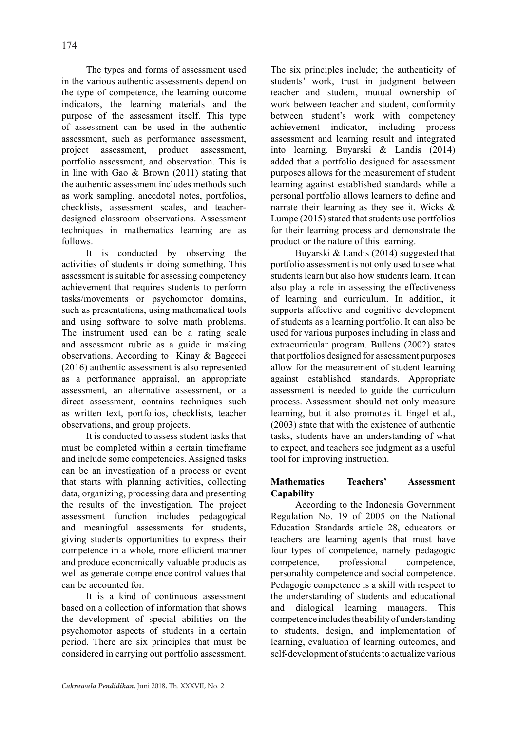The types and forms of assessment used in the various authentic assessments depend on the type of competence, the learning outcome indicators, the learning materials and the purpose of the assessment itself. This type of assessment can be used in the authentic assessment, such as performance assessment, project assessment, product assessment, portfolio assessment, and observation. This is in line with Gao & Brown (2011) stating that the authentic assessment includes methods such as work sampling, anecdotal notes, portfolios, checklists, assessment scales, and teacherdesigned classroom observations. Assessment techniques in mathematics learning are as follows.

It is conducted by observing the activities of students in doing something. This assessment is suitable for assessing competency achievement that requires students to perform tasks/movements or psychomotor domains, such as presentations, using mathematical tools and using software to solve math problems. The instrument used can be a rating scale and assessment rubric as a guide in making observations. According to Kinay & Bagceci (2016) authentic assessment is also represented as a performance appraisal, an appropriate assessment, an alternative assessment, or a direct assessment, contains techniques such as written text, portfolios, checklists, teacher observations, and group projects.

It is conducted to assess student tasks that must be completed within a certain timeframe and include some competencies. Assigned tasks can be an investigation of a process or event that starts with planning activities, collecting data, organizing, processing data and presenting the results of the investigation. The project assessment function includes pedagogical and meaningful assessments for students, giving students opportunities to express their competence in a whole, more efficient manner and produce economically valuable products as well as generate competence control values that can be accounted for.

It is a kind of continuous assessment based on a collection of information that shows the development of special abilities on the psychomotor aspects of students in a certain period. There are six principles that must be considered in carrying out portfolio assessment. The six principles include; the authenticity of students' work, trust in judgment between teacher and student, mutual ownership of work between teacher and student, conformity between student's work with competency achievement indicator, including process assessment and learning result and integrated into learning. Buyarski & Landis (2014) added that a portfolio designed for assessment purposes allows for the measurement of student learning against established standards while a personal portfolio allows learners to define and narrate their learning as they see it. Wicks & Lumpe (2015) stated that students use portfolios for their learning process and demonstrate the product or the nature of this learning.

Buyarski & Landis (2014) suggested that portfolio assessment is not only used to see what students learn but also how students learn. It can also play a role in assessing the effectiveness of learning and curriculum. In addition, it supports affective and cognitive development of students as a learning portfolio. It can also be used for various purposes including in class and extracurricular program. Bullens (2002) states that portfolios designed for assessment purposes allow for the measurement of student learning against established standards. Appropriate assessment is needed to guide the curriculum process. Assessment should not only measure learning, but it also promotes it. Engel et al., (2003) state that with the existence of authentic tasks, students have an understanding of what to expect, and teachers see judgment as a useful tool for improving instruction.

# **Mathematics Teachers' Assessment Capability**

According to the Indonesia Government Regulation No. 19 of 2005 on the National Education Standards article 28, educators or teachers are learning agents that must have four types of competence, namely pedagogic competence, professional competence, personality competence and social competence. Pedagogic competence is a skill with respect to the understanding of students and educational and dialogical learning managers. This competence includes the ability of understanding to students, design, and implementation of learning, evaluation of learning outcomes, and self-development of students to actualize various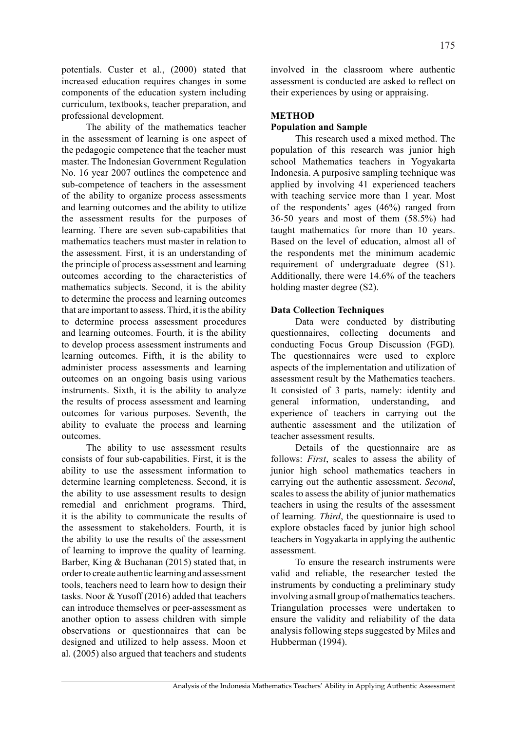potentials. Custer et al., (2000) stated that increased education requires changes in some components of the education system including curriculum, textbooks, teacher preparation, and professional development.

The ability of the mathematics teacher in the assessment of learning is one aspect of the pedagogic competence that the teacher must master. The Indonesian Government Regulation No. 16 year 2007 outlines the competence and sub-competence of teachers in the assessment of the ability to organize process assessments and learning outcomes and the ability to utilize the assessment results for the purposes of learning. There are seven sub-capabilities that mathematics teachers must master in relation to the assessment. First, it is an understanding of the principle of process assessment and learning outcomes according to the characteristics of mathematics subjects. Second, it is the ability to determine the process and learning outcomes that are important to assess. Third, it is the ability to determine process assessment procedures and learning outcomes. Fourth, it is the ability to develop process assessment instruments and learning outcomes. Fifth, it is the ability to administer process assessments and learning outcomes on an ongoing basis using various instruments. Sixth, it is the ability to analyze the results of process assessment and learning outcomes for various purposes. Seventh, the ability to evaluate the process and learning outcomes.

The ability to use assessment results consists of four sub-capabilities. First, it is the ability to use the assessment information to determine learning completeness. Second, it is the ability to use assessment results to design remedial and enrichment programs. Third, it is the ability to communicate the results of the assessment to stakeholders. Fourth, it is the ability to use the results of the assessment of learning to improve the quality of learning. Barber, King & Buchanan (2015) stated that, in order to create authentic learning and assessment tools, teachers need to learn how to design their tasks. Noor & Yusoff (2016) added that teachers can introduce themselves or peer-assessment as another option to assess children with simple observations or questionnaires that can be designed and utilized to help assess. Moon et al. (2005) also argued that teachers and students involved in the classroom where authentic assessment is conducted are asked to reflect on their experiences by using or appraising.

### **METHOD**

### **Population and Sample**

This research used a mixed method. The population of this research was junior high school Mathematics teachers in Yogyakarta Indonesia. A purposive sampling technique was applied by involving 41 experienced teachers with teaching service more than 1 year. Most of the respondents' ages (46%) ranged from 36-50 years and most of them (58.5%) had taught mathematics for more than 10 years. Based on the level of education, almost all of the respondents met the minimum academic requirement of undergraduate degree (S1). Additionally, there were 14.6% of the teachers holding master degree (S2).

#### **Data Collection Techniques**

Data were conducted by distributing questionnaires, collecting documents and conducting Focus Group Discussion (FGD)*.* The questionnaires were used to explore aspects of the implementation and utilization of assessment result by the Mathematics teachers. It consisted of 3 parts, namely: identity and general information, understanding, and experience of teachers in carrying out the authentic assessment and the utilization of teacher assessment results.

Details of the questionnaire are as follows: *First*, scales to assess the ability of junior high school mathematics teachers in carrying out the authentic assessment. *Second*, scales to assess the ability of junior mathematics teachers in using the results of the assessment of learning. *Third*, the questionnaire is used to explore obstacles faced by junior high school teachers in Yogyakarta in applying the authentic assessment.

To ensure the research instruments were valid and reliable, the researcher tested the instruments by conducting a preliminary study involving a small group of mathematics teachers. Triangulation processes were undertaken to ensure the validity and reliability of the data analysis following steps suggested by Miles and Hubberman (1994).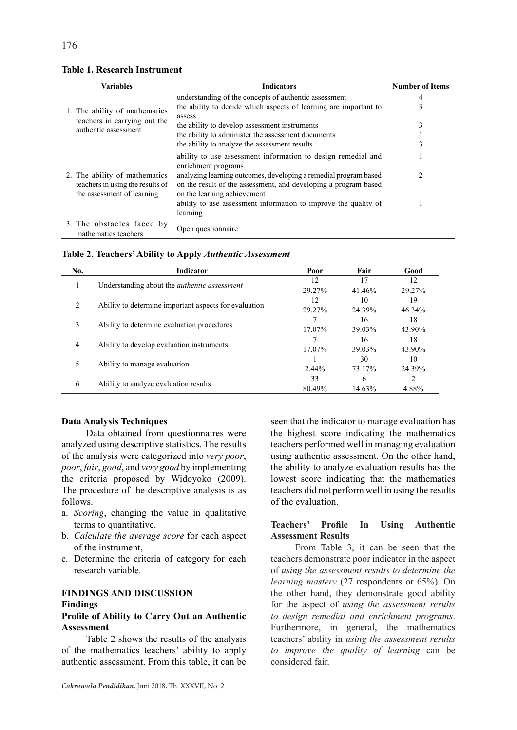| <b>Variables</b>                                                                                | <b>Indicators</b>                                                                                                                                                  | <b>Number of Items</b> |
|-------------------------------------------------------------------------------------------------|--------------------------------------------------------------------------------------------------------------------------------------------------------------------|------------------------|
|                                                                                                 | understanding of the concepts of authentic assessment                                                                                                              | 4                      |
| 1. The ability of mathematics                                                                   | the ability to decide which aspects of learning are important to<br>assess                                                                                         | 3                      |
| teachers in carrying out the                                                                    | the ability to develop assessment instruments                                                                                                                      | 3                      |
| authentic assessment                                                                            | the ability to administer the assessment documents                                                                                                                 |                        |
|                                                                                                 | the ability to analyze the assessment results                                                                                                                      | 3                      |
|                                                                                                 | ability to use assessment information to design remedial and<br>enrichment programs                                                                                |                        |
| 2. The ability of mathematics<br>teachers in using the results of<br>the assessment of learning | analyzing learning outcomes, developing a remedial program based<br>on the result of the assessment, and developing a program based<br>on the learning achievement |                        |
|                                                                                                 | ability to use assessment information to improve the quality of<br>learning                                                                                        |                        |
| 3. The obstacles faced by<br>mathematics teachers                                               | Open questionnaire                                                                                                                                                 |                        |

### **Table 1. Research Instrument**

**Table 2. Teachers' Ability to Apply** *Authentic Assessment*

| No.            | Indicator                                             | Poor     | Fair   | Good      |
|----------------|-------------------------------------------------------|----------|--------|-----------|
| 1              | Understanding about the <i>authentic</i> assessment   | 12       | 17     | 12        |
|                |                                                       | 29.27%   | 41.46% | 29.27%    |
| $\mathfrak{D}$ | Ability to determine important aspects for evaluation | 12       | 10     | 19        |
|                |                                                       | 29.27%   | 24.39% | $46.34\%$ |
| 3              | Ability to determine evaluation procedures            |          | 16     | 18        |
|                |                                                       | 17.07%   | 39.03% | 43.90%    |
| $\overline{4}$ | Ability to develop evaluation instruments             |          | 16     | 18        |
|                |                                                       | 17.07%   | 39.03% | 43.90%    |
| 5              | Ability to manage evaluation                          |          | 30     | 10        |
|                |                                                       | $2.44\%$ | 73.17% | 24.39%    |
| 6              | Ability to analyze evaluation results                 | 33       | 6      | 2         |
|                |                                                       | 80.49%   | 14.63% | 4.88%     |

### **Data Analysis Techniques**

Data obtained from questionnaires were analyzed using descriptive statistics. The results of the analysis were categorized into *very poor*, *poor*, *fair*, *good*, and *very good* by implementing the criteria proposed by Widoyoko (2009). The procedure of the descriptive analysis is as follows.

- a. *Scoring*, changing the value in qualitative terms to quantitative.
- b. *Calculate the average score* for each aspect of the instrument,
- c. Determine the criteria of category for each research variable.

## **FINDINGS AND DISCUSSION Findings**

### **Profile of Ability to Carry Out an Authentic Assessment**

Table 2 shows the results of the analysis of the mathematics teachers' ability to apply authentic assessment. From this table, it can be seen that the indicator to manage evaluation has the highest score indicating the mathematics teachers performed well in managing evaluation using authentic assessment. On the other hand, the ability to analyze evaluation results has the lowest score indicating that the mathematics teachers did not perform well in using the results of the evaluation.

# **Teachers' Profile In Using Authentic Assessment Results**

From Table 3, it can be seen that the teachers demonstrate poor indicator in the aspect of *using the assessment results to determine the learning mastery* (27 respondents or 65%)*.* On the other hand, they demonstrate good ability for the aspect of *using the assessment results to design remedial and enrichment programs*. Furthermore, in general, the mathematics teachers' ability in *using the assessment results to improve the quality of learning* can be considered fair.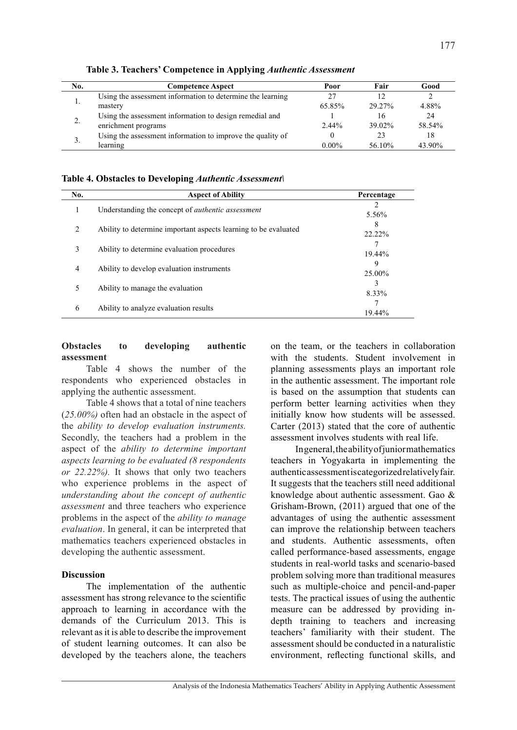| No. | <b>Competence Aspect</b>                                   | Poor     | Fair   | Good   |
|-----|------------------------------------------------------------|----------|--------|--------|
|     | Using the assessment information to determine the learning |          |        |        |
|     | mastery                                                    | 65.85%   | 29.27% | 4.88%  |
| 2.  | Using the assessment information to design remedial and    |          | 16     | 24     |
|     | enrichment programs                                        | $2.44\%$ | 39.02% | 58.54% |
| 3.  | Using the assessment information to improve the quality of |          | 23     | 18     |
|     | learning                                                   | $0.00\%$ | 56.10% | 43.90% |

**Table 3. Teachers' Competence in Applying** *Authentic Assessment*

**Table 4. Obstacles to Developing** *Authentic Assessment\*

| No.            | <b>Aspect of Ability</b>                                        | Percentage  |
|----------------|-----------------------------------------------------------------|-------------|
| л.             | Understanding the concept of <i>authentic assessment</i>        | 5.56%       |
| 2              | Ability to determine important aspects learning to be evaluated | 8<br>22.22% |
| 3              | Ability to determine evaluation procedures                      | 19.44%      |
| $\overline{4}$ | Ability to develop evaluation instruments                       | 9<br>25.00% |
| 5              | Ability to manage the evaluation                                | 8.33%       |
| 6              | Ability to analyze evaluation results                           | 19.44%      |

## **Obstacles to developing authentic assessment**

Table 4 shows the number of the respondents who experienced obstacles in applying the authentic assessment.

Table 4 shows that a total of nine teachers (*25.00%)* often had an obstacle in the aspect of the *ability to develop evaluation instruments.*  Secondly, the teachers had a problem in the aspect of the *ability to determine important aspects learning to be evaluated (8 respondents or 22.22%).* It shows that only two teachers who experience problems in the aspect of *understanding about the concept of authentic assessment* and three teachers who experience problems in the aspect of the *ability to manage evaluation*. In general, it can be interpreted that mathematics teachers experienced obstacles in developing the authentic assessment.

## **Discussion**

The implementation of the authentic assessment has strong relevance to the scientific approach to learning in accordance with the demands of the Curriculum 2013. This is relevant as it is able to describe the improvement of student learning outcomes. It can also be developed by the teachers alone, the teachers on the team, or the teachers in collaboration with the students. Student involvement in planning assessments plays an important role in the authentic assessment. The important role is based on the assumption that students can perform better learning activities when they initially know how students will be assessed. Carter (2013) stated that the core of authentic assessment involves students with real life.

In general, the ability of junior mathematics teachers in Yogyakarta in implementing the authentic assessment is categorized relatively fair. It suggests that the teachers still need additional knowledge about authentic assessment. Gao & Grisham-Brown, (2011) argued that one of the advantages of using the authentic assessment can improve the relationship between teachers and students. Authentic assessments, often called performance-based assessments, engage students in real-world tasks and scenario-based problem solving more than traditional measures such as multiple-choice and pencil-and-paper tests. The practical issues of using the authentic measure can be addressed by providing indepth training to teachers and increasing teachers' familiarity with their student. The assessment should be conducted in a naturalistic environment, reflecting functional skills, and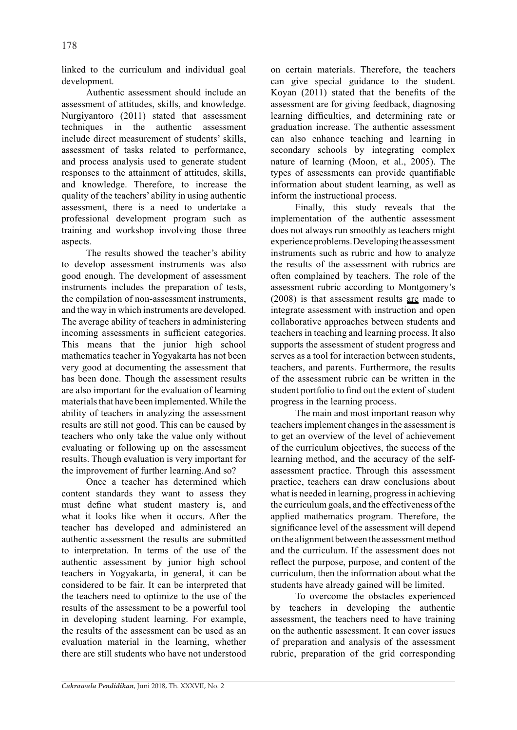linked to the curriculum and individual goal development.

Authentic assessment should include an assessment of attitudes, skills, and knowledge. Nurgiyantoro (2011) stated that assessment techniques in the authentic assessment include direct measurement of students' skills, assessment of tasks related to performance, and process analysis used to generate student responses to the attainment of attitudes, skills, and knowledge. Therefore, to increase the quality of the teachers' ability in using authentic assessment, there is a need to undertake a professional development program such as training and workshop involving those three aspects.

The results showed the teacher's ability to develop assessment instruments was also good enough. The development of assessment instruments includes the preparation of tests, the compilation of non-assessment instruments, and the way in which instruments are developed. The average ability of teachers in administering incoming assessments in sufficient categories. This means that the junior high school mathematics teacher in Yogyakarta has not been very good at documenting the assessment that has been done. Though the assessment results are also important for the evaluation of learning materials that have been implemented. While the ability of teachers in analyzing the assessment results are still not good. This can be caused by teachers who only take the value only without evaluating or following up on the assessment results. Though evaluation is very important for the improvement of further learning.And so?

Once a teacher has determined which content standards they want to assess they must define what student mastery is, and what it looks like when it occurs. After the teacher has developed and administered an authentic assessment the results are submitted to interpretation. In terms of the use of the authentic assessment by junior high school teachers in Yogyakarta, in general, it can be considered to be fair. It can be interpreted that the teachers need to optimize to the use of the results of the assessment to be a powerful tool in developing student learning. For example, the results of the assessment can be used as an evaluation material in the learning, whether there are still students who have not understood on certain materials. Therefore, the teachers can give special guidance to the student. Koyan (2011) stated that the benefits of the assessment are for giving feedback, diagnosing learning difficulties, and determining rate or graduation increase. The authentic assessment can also enhance teaching and learning in secondary schools by integrating complex nature of learning (Moon, et al., 2005). The types of assessments can provide quantifiable information about student learning, as well as inform the instructional process.

Finally, this study reveals that the implementation of the authentic assessment does not always run smoothly as teachers might experience problems. Developing the assessment instruments such as rubric and how to analyze the results of the assessment with rubrics are often complained by teachers. The role of the assessment rubric according to Montgomery's (2008) is that assessment results are made to integrate assessment with instruction and open collaborative approaches between students and teachers in teaching and learning process. It also supports the assessment of student progress and serves as a tool for interaction between students, teachers, and parents. Furthermore, the results of the assessment rubric can be written in the student portfolio to find out the extent of student progress in the learning process.

The main and most important reason why teachers implement changes in the assessment is to get an overview of the level of achievement of the curriculum objectives, the success of the learning method, and the accuracy of the selfassessment practice. Through this assessment practice, teachers can draw conclusions about what is needed in learning, progress in achieving the curriculum goals, and the effectiveness of the applied mathematics program. Therefore, the significance level of the assessment will depend on the alignment between the assessment method and the curriculum. If the assessment does not reflect the purpose, purpose, and content of the curriculum, then the information about what the students have already gained will be limited.

To overcome the obstacles experienced by teachers in developing the authentic assessment, the teachers need to have training on the authentic assessment. It can cover issues of preparation and analysis of the assessment rubric, preparation of the grid corresponding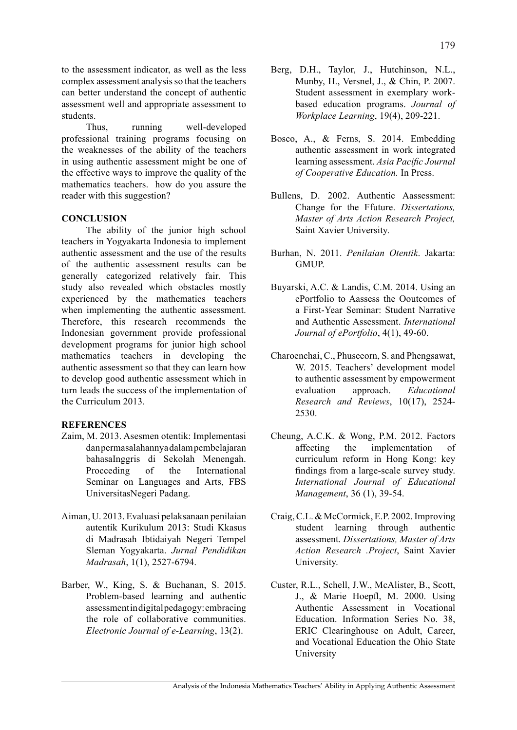to the assessment indicator, as well as the less complex assessment analysis so that the teachers can better understand the concept of authentic assessment well and appropriate assessment to students.

Thus, running well-developed professional training programs focusing on the weaknesses of the ability of the teachers in using authentic assessment might be one of the effective ways to improve the quality of the mathematics teachers. how do you assure the reader with this suggestion?

### **CONCLUSION**

The ability of the junior high school teachers in Yogyakarta Indonesia to implement authentic assessment and the use of the results of the authentic assessment results can be generally categorized relatively fair. This study also revealed which obstacles mostly experienced by the mathematics teachers when implementing the authentic assessment. Therefore, this research recommends the Indonesian government provide professional development programs for junior high school mathematics teachers in developing the authentic assessment so that they can learn how to develop good authentic assessment which in turn leads the success of the implementation of the Curriculum 2013.

### **REFERENCES**

- Zaim, M. 2013. Asesmen otentik: Implementasi dan permasalahannya dalam pembelajaran bahasaInggris di Sekolah Menengah. Procceding of the International Seminar on Languages and Arts, FBS UniversitasNegeri Padang.
- Aiman, U. 2013. Evaluasi pelaksanaan penilaian autentik Kurikulum 2013: Studi Kkasus di Madrasah Ibtidaiyah Negeri Tempel Sleman Yogyakarta. *Jurnal Pendidikan Madrasah*, 1(1), 2527-6794.
- Barber, W., King, S. & Buchanan, S. 2015. Problem-based learning and authentic assessment in digital pedagogy: embracing the role of collaborative communities. *Electronic Journal of e-Learning*, 13(2).
- Berg, D.H., Taylor, J., Hutchinson, N.L., Munby, H., Versnel, J., & Chin, P. 2007. Student assessment in exemplary workbased education programs. *Journal of Workplace Learning*, 19(4), 209-221.
- Bosco, A., & Ferns, S. 2014. Embedding authentic assessment in work integrated learning assessment. *Asia Pacific Journal of Cooperative Education.* In Press.
- Bullens, D. 2002. Authentic Aassessment: Change for the Ffuture. *Dissertations, Master of Arts Action Research Project,* Saint Xavier University.
- Burhan, N. 2011. *Penilaian Otentik*. Jakarta: GMUP.
- Buyarski, A.C. & Landis, C.M. 2014. Using an ePortfolio to Aassess the Ooutcomes of a First-Year Seminar: Student Narrative and Authentic Assessment. *International Journal of ePortfolio*, 4(1), 49-60.
- Charoenchai, C., Phuseeorn, S. and Phengsawat, W. 2015. Teachers' development model to authentic assessment by empowerment evaluation approach. *Educational Research and Reviews*, 10(17), 2524- 2530.
- Cheung, A.C.K. & Wong, P.M. 2012. Factors affecting the implementation of curriculum reform in Hong Kong: key findings from a large-scale survey study. *International Journal of Educational Management*, 36 (1), 39-54.
- Craig, C.L. & McCormick, E.P. 2002. Improving student learning through authentic assessment. *Dissertations, Master of Arts Action Research .Project*, Saint Xavier University.
- Custer, R.L., Schell, J.W., McAlister, B., Scott, J., & Marie Hoepfl, M. 2000. Using Authentic Assessment in Vocational Education. Information Series No. 38, ERIC Clearinghouse on Adult, Career, and Vocational Education the Ohio State University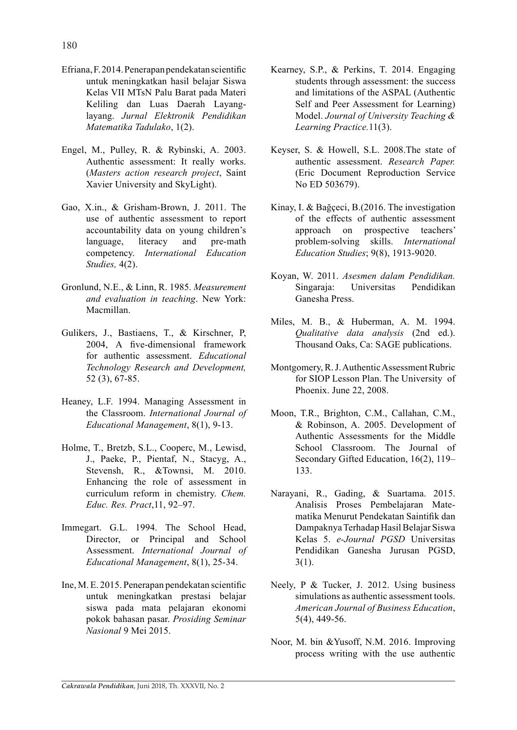- Efriana, F. 2014. Penerapan pendekatan scientific untuk meningkatkan hasil belajar Siswa Kelas VII MTsN Palu Barat pada Materi Keliling dan Luas Daerah Layanglayang. *Jurnal Elektronik Pendidikan Matematika Tadulako*, 1(2).
- Engel, M., Pulley, R. & Rybinski, A. 2003. Authentic assessment: It really works. (*Masters action research project*, Saint Xavier University and SkyLight).
- Gao, X.in., & Grisham-Brown, J. 2011. The use of authentic assessment to report accountability data on young children's language, literacy and pre-math competency. *International Education Studies,* 4(2).
- Gronlund, N.E., & Linn, R. 1985. *Measurement and evaluation in teaching*. New York: Macmillan.
- Gulikers, J., Bastiaens, T., & Kirschner, P, 2004, A five-dimensional framework for authentic assessment. *Educational Technology Research and Development,* 52 (3), 67-85.
- Heaney, L.F. 1994. Managing Assessment in the Classroom. *International Journal of Educational Management*, 8(1), 9-13.
- Holme, T., Bretzb, S.L., Cooperc, M., Lewisd, J., Paeke, P., Pientaf, N., Stacyg, A., Stevensh, R., &Townsi, M. 2010. Enhancing the role of assessment in curriculum reform in chemistry. *Chem. Educ. Res. Pract*,11, 92–97.
- Immegart. G.L. 1994. The School Head, Director, or Principal and School Assessment. *International Journal of Educational Management*, 8(1), 25-34.
- Ine, M. E. 2015. Penerapan pendekatan scientific untuk meningkatkan prestasi belajar siswa pada mata pelajaran ekonomi pokok bahasan pasar. *Prosiding Seminar Nasional* 9 Mei 2015.
- Kearney, S.P., & Perkins, T. 2014. Engaging students through assessment: the success and limitations of the ASPAL (Authentic Self and Peer Assessment for Learning) Model. *Journal of University Teaching & Learning Practice.*11(3).
- Keyser, S. & Howell, S.L. 2008.The state of authentic assessment. *Research Paper.*  (Eric Document Reproduction Service No ED 503679).
- Kinay, I. & Bağçeci, B.(2016. The investigation of the effects of authentic assessment approach on prospective teachers' problem-solving skills. *International Education Studies*; 9(8), 1913-9020.
- Koyan, W. 2011. *Asesmen dalam Pendidikan.* Singaraja: Universitas Pendidikan Ganesha Press.
- Miles, M. B., & Huberman, A. M. 1994. *Qualitative data analysis* (2nd ed.). Thousand Oaks, Ca: SAGE publications.
- Montgomery, R. J. Authentic Assessment Rubric for SIOP Lesson Plan. The University of Phoenix. June 22, 2008.
- Moon, T.R., Brighton, C.M., Callahan, C.M., & Robinson, A. 2005. Development of Authentic Assessments for the Middle School Classroom. The Journal of Secondary Gifted Education, 16(2), 119– 133.
- Narayani, R., Gading, & Suartama. 2015. Analisis Proses Pembelajaran Matematika Menurut Pendekatan Saintifik dan Dampaknya Terhadap Hasil Belajar Siswa Kelas 5. *e-Journal PGSD* Universitas Pendidikan Ganesha Jurusan PGSD,  $3(1)$ .
- Neely, P & Tucker, J. 2012. Using business simulations as authentic assessment tools. *American Journal of Business Education*, 5(4), 449-56.
- Noor, M. bin &Yusoff, N.M. 2016. Improving process writing with the use authentic